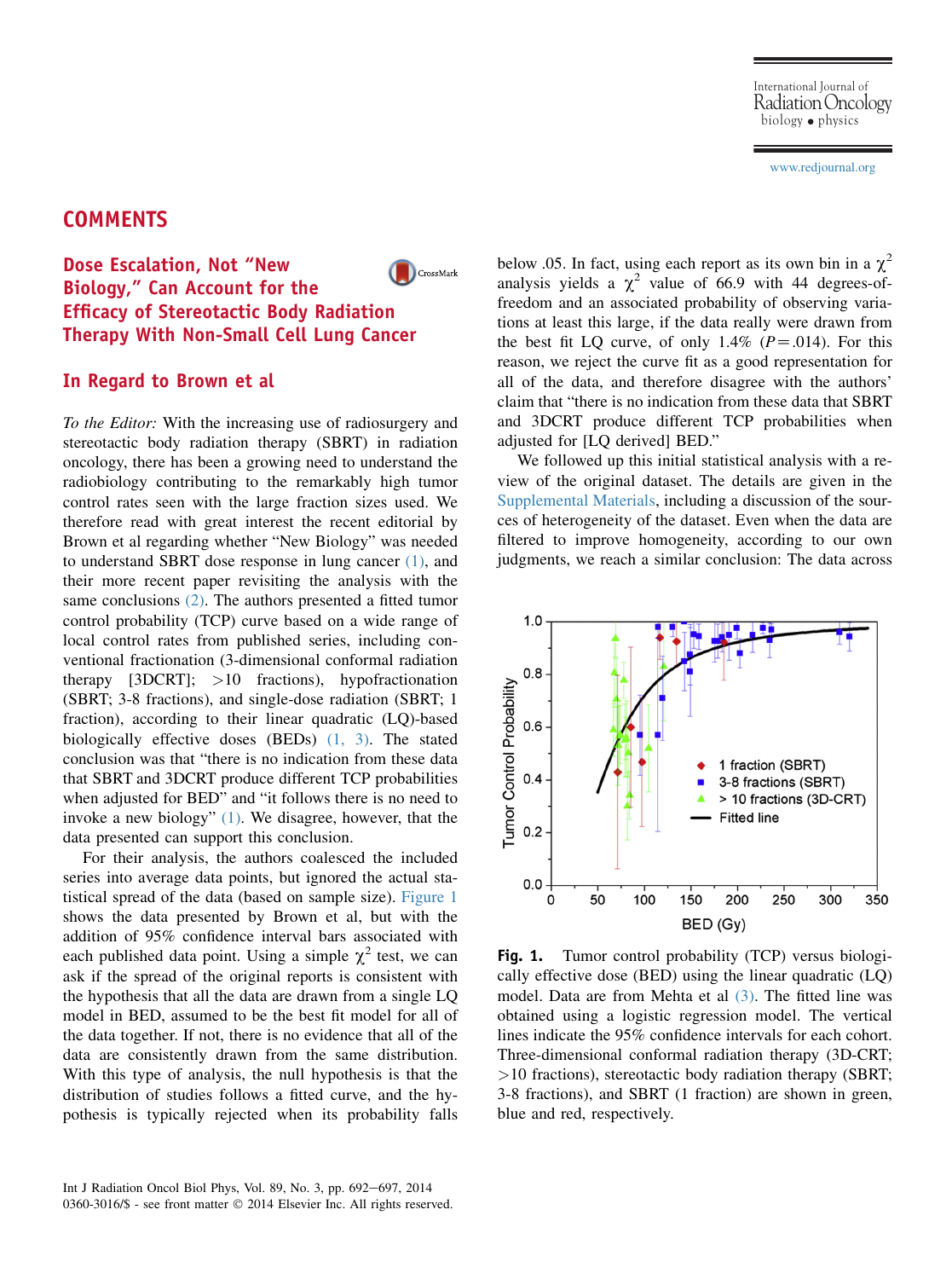#### [www.redjournal.org](http://www.redjournal.org)

# **COMMENTS**

#### Dose Escalation, Not "New CrossMark Biology," Can Account for the Efficacy of Stereotactic Body Radiation Therapy With Non-Small Cell Lung Cancer

#### In Regard to Brown et al

To the Editor: With the increasing use of radiosurgery and stereotactic body radiation therapy (SBRT) in radiation oncology, there has been a growing need to understand the radiobiology contributing to the remarkably high tumor control rates seen with the large fraction sizes used. We therefore read with great interest the recent editorial by Brown et al regarding whether "New Biology" was needed to understand SBRT dose response in lung cancer [\(1\)](#page-1-0), and their more recent paper revisiting the analysis with the same conclusions [\(2\).](#page-1-0) The authors presented a fitted tumor control probability (TCP) curve based on a wide range of local control rates from published series, including conventional fractionation (3-dimensional conformal radiation therapy [3DCRT]; >10 fractions), hypofractionation (SBRT; 3-8 fractions), and single-dose radiation (SBRT; 1 fraction), according to their linear quadratic (LQ)-based biologically effective doses (BEDs) [\(1, 3\)](#page-1-0). The stated conclusion was that "there is no indication from these data that SBRT and 3DCRT produce different TCP probabilities when adjusted for BED" and "it follows there is no need to invoke a new biology" [\(1\).](#page-1-0) We disagree, however, that the data presented can support this conclusion.

For their analysis, the authors coalesced the included series into average data points, but ignored the actual statistical spread of the data (based on sample size). Figure 1 shows the data presented by Brown et al, but with the addition of 95% confidence interval bars associated with each published data point. Using a simple  $\chi^2$  test, we can ask if the spread of the original reports is consistent with the hypothesis that all the data are drawn from a single LQ model in BED, assumed to be the best fit model for all of the data together. If not, there is no evidence that all of the data are consistently drawn from the same distribution. With this type of analysis, the null hypothesis is that the distribution of studies follows a fitted curve, and the hypothesis is typically rejected when its probability falls

Int J Radiation Oncol Biol Phys, Vol. 89, No. 3, pp. 692-697, 2014 0360-3016/\$ - see front matter © 2014 Elsevier Inc. All rights reserved. below .05. In fact, using each report as its own bin in a  $\chi^2$ analysis yields a  $\chi^2$  value of 66.9 with 44 degrees-offreedom and an associated probability of observing variations at least this large, if the data really were drawn from the best fit LQ curve, of only 1.4% ( $P = .014$ ). For this reason, we reject the curve fit as a good representation for all of the data, and therefore disagree with the authors' claim that "there is no indication from these data that SBRT and 3DCRT produce different TCP probabilities when adjusted for [LQ derived] BED."

We followed up this initial statistical analysis with a review of the original dataset. The details are given in the Supplemental Materials, including a discussion of the sources of heterogeneity of the dataset. Even when the data are filtered to improve homogeneity, according to our own judgments, we reach a similar conclusion: The data across



Fig. 1. Tumor control probability (TCP) versus biologically effective dose (BED) using the linear quadratic (LQ) model. Data are from Mehta et al [\(3\).](#page-1-0) The fitted line was obtained using a logistic regression model. The vertical lines indicate the 95% confidence intervals for each cohort. Three-dimensional conformal radiation therapy (3D-CRT; >10 fractions), stereotactic body radiation therapy (SBRT; 3-8 fractions), and SBRT (1 fraction) are shown in green, blue and red, respectively.